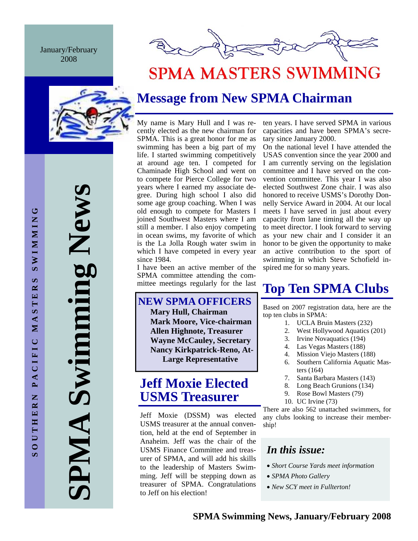January/February 2008



**SPMA Swimming News**  Swimming New AIMP

# **SPMA MASTERS SWIMMING**

## **Message from New SPMA Chairman**

My name is Mary Hull and I was recently elected as the new chairman for SPMA. This is a great honor for me as swimming has been a big part of my life. I started swimming competitively at around age ten. I competed for Chaminade High School and went on to compete for Pierce College for two years where I earned my associate degree. During high school I also did some age group coaching. When I was old enough to compete for Masters I joined Southwest Masters where I am still a member. I also enjoy competing in ocean swims, my favorite of which is the La Jolla Rough water swim in which I have competed in every year since 1984.

I have been an active member of the SPMA committee attending the committee meetings regularly for the last

## **NEW SPMA OFFICERS**

**Mary Hull, Chairman Mark Moore, Vice-chairman Allen Highnote, Treasurer Wayne McCauley, Secretary Nancy Kirkpatrick-Reno, At-Large Representative** 

## **Jeff Moxie Elected USMS Treasurer**

Jeff Moxie (DSSM) was elected USMS treasurer at the annual convention, held at the end of September in Anaheim. Jeff was the chair of the USMS Finance Committee and treasurer of SPMA, and will add his skills to the leadership of Masters Swimming. Jeff will be stepping down as treasurer of SPMA. Congratulations to Jeff on his election!

ten years. I have served SPMA in various capacities and have been SPMA's secretary since January 2000.

On the national level I have attended the USAS convention since the year 2000 and I am currently serving on the legislation committee and I have served on the convention committee. This year I was also elected Southwest Zone chair. I was also honored to receive USMS's Dorothy Donnelly Service Award in 2004. At our local meets I have served in just about every capacity from lane timing all the way up to meet director. I look forward to serving as your new chair and I consider it an honor to be given the opportunity to make an active contribution to the sport of swimming in which Steve Schofield inspired me for so many years.

## **Top Ten SPMA Clubs**

Based on 2007 registration data, here are the top ten clubs in SPMA:

- 1. UCLA Bruin Masters (232)
- 2. West Hollywood Aquatics (201)
- 3. Irvine Novaquatics (194)
- 4. Las Vegas Masters (188)
- 4. Mission Viejo Masters (188)
- 6. Southern California Aquatic Masters (164)
- 7. Santa Barbara Masters (143)
- 8. Long Beach Grunions (134)
- 9. Rose Bowl Masters (79)
- 10. UC Irvine (73)

There are also 562 unattached swimmers, for any clubs looking to increase their membership!

## *In this issue:*

- *Short Course Yards meet information*
- *SPMA Photo Gallery*
- *New SCY meet in Fullterton!*

**SOUTHERN PACIFIC MASTERS SWIMMING** 

PACIFIC

Z

OUTHER

 $\bar{a}$ 

MASTE

ڻ

**NIMMIN** 

 $\mathbf{v}$  $\approx$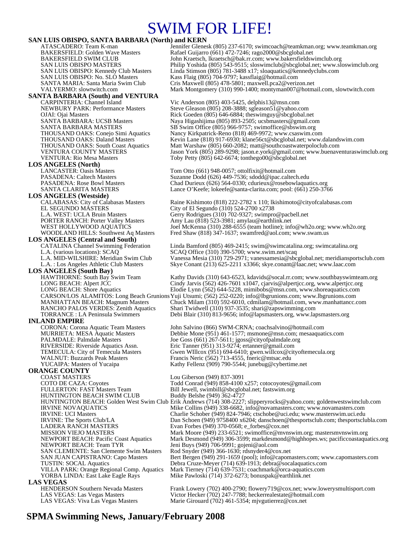## SWIM FOR LIFE!

**SAN LUIS OBISPO, SANTA BARBARA (North) and KERN**<br>ATASCADERO: Team K-man<br>Jennifer Glenes SAN LUIS OBISPO: No. SLO Masters Kass Flaig (805) 704-9797; kassflaig@hotmail.com<br>SANTA MARIA: Santa Maria Swim Club Cris Maxwell (805) 478-5801; maxwell.pca2@veriz **SANTA BARBARA (South) and VENTURA**  CARPINTERIA: Channel Island<br>
NEWBURY PARK: Performance Masters Steve Gleason (805) 208-3888; sgleason51@yahoo.c VENTURA: Rio Mesa Masters Toby Petty (805) 642-6674; tonthego00@sbcglobal.net **LOS ANGELES (North)**  LANCASTER: Oasis Masters Tom Otto (661) 948-0057; ottolfixit@hotmail.com<br>PASADENA: Caltech Masters Suzanne Dodd (626) 449-7536; sdodd@ipac.caltecl PASADENA: Caltech Masters Suzanne Dodd (626) 449-7536; sdodd@ipac.caltech.edu<br>PASADENA: Rose Bowl Masters Chad Durieux (626) 564-0330; cdurieux @rosebowlaquat **LOS ANGELES (Westside)** EL SEGUNDO MÁSTERS<br>
L.A. WEST: UCLA Bruin Masters Gerry Rodrigues (310) 702-9327; swimpro L.A. WEST: UCLA Bruin Masters Gerry Rodrigues (310) 702-9327; swimpro@pacbell.net<br>
PORTER RANCH: Porter Valley Masters Amy Lau (818) 523-3981; amylau@earthlink.net PORTER RANCH: Porter Valley Masters Amy Lau (818) 523-3981; amylau@earthlink.net<br>WEST HOLLYWOOD AQUATICS Joel McKenna (310) 288-6555 (team hotline); inf **LOS ANGELES (Central and South)**  L.A. (various locations): SCAQ<br>
L.A. MID-WILSHIRE: Meridian Swim Club Vanessa Mesia (310) 729-2971; vanessamesia@sbc **LOS ANGELES (South Bay)**<br>
HAWTHORNE: South Bay Swim Team<br>
LONG BEACH: Alpert JCC **INLAND EMPIRE**<br>CORONA: Corona Aquatic Team Masters PALMDALE: Palmdale Masters Joe Goss (661) 267-5611; jgoss@cityofpalmdale.org RIVERSIDE: Riverside Aquatics Assn. Eric Tanner (951) 313-9274; ertanner@gmail.com WALNUT: Buzzards Peak Masters Francis Neric (562) 713-4555, fneric@mtsac.edu<br>YUCAIPA: Masters of Yucaipa Kathy Fellenz (909) 790-5544; junebug@cybertir **ORANGE COUNTY**  COAST MASTERS Lou Giberson (949) 837-3091 HUNTINGTON BEACH SWIM CLUB LADERA RANCH MASTERS Evan Forbes (949) 370-0568; e\_forbes@cox.net<br>MISSION VIEJO MASTERS Mark Moore (949) 233-6521; swimoffice@mvns NEWPORT BEACH: Team TYR<br>SAN CLEMENTE: San Clemente Swim Masters Rod Snyder (949) 366-1630; rdsnyder4@cox.net SAN CLEMENTE: San Clemente Swim Masters<br>SAN JUAN CAPISTRANO: Capo Masters YORBA LINDA: East Lake Eagle Rays Mike Pawloski (714) 372-6273; bonuspak@earthlink.net **LAS VEGAS**<br> **HENDERSON Southern Nevada Masters** 

ATASCADERO: Team K-man Jennifer Glenesk (805) 237-6170; swimcoach@teamkman.org; www.teamkman.org<br>BAKERSFIELD: Golden Wave Masters Rafael Guijarro (661) 472-7246; rago2000@sbcglobal.net BAKERSFIELD: Golden Wave Masters Rafael Guijarro (661) 472-7246; rago2000@sbcglobal.net<br>BAKERSFIELD SWIM CLUB John Kraetsch, lkraetsch@bak.rr.com; www.bakersfieldsw BAKERSFIELD SWIM CLUB John Kraetsch, lkraetsch@bak.rr.com; www.bakersfieldswimclub.org<br>SAN LUIS OBISPO MASTERS Philip Yoshida (805) 543-9515; sloswimclub@sbcglobal.net; www.sl SAN LUIS OBISPO MASTERS Philip Yoshida (805) 543-9515; sloswimclub@sbcglobal.net; www.sloswimclub.org<br>SAN LUIS OBISPO: Kennedy Club Masters Linda Stimson (805) 781-3488 x17; sloaquatics@kennedyclubs.com SAN LUIS OBISPO: Kennedy Club Masters Linda Stimson (805) 781-3488 x17; sloaquatics@kennedyclubs.com<br>SAN LUIS OBISPO: No. SLO Masters Kass Flaig (805) 704-9797; kassflaig@hotmail.com SANTA MARIA: Santa Maria Swim Club Cris Maxwell (805) 478-5801; maxwell.pca2@verizon.net Mark Montgomery (310) 990-1400; montyman007@hotmail.com, slowtwitch.com

Steve Gleason (805) 208-3888; sgleason51@yahoo.com OJAI: Ojai Masters **Rick Goeden (805) 646-6884; theswimguy@sbcglobal.net** Rick Goeden (805) 646-6884; theswimguy@sbcglobal.net<br>SANTA BARBARA: UCSB Masters **Rick Assemble Assemble Agent** (805) 893-2505; ucsbmasters@gmail.co SANTA BARBARA: UCSB Masters Naya Higashijima (805) 893-2505; ucsbmasters@gmail.com<br>SANTA BARBARA MASTERS SB Swim Office (805) 966-9757; swimoffice@sbswim.org SANTA BARBARA MASTERS<br>THOUSAND OAKS: Conejo Simi Aquatics Mancy Kirkpatrick-Reno (818) 469-9972; www.csaswim.co THOUSAND OAKS: Conejo Simi Aquatics Nancy Kirkpatrick-Reno (818) 469-9972; www.csaswim.com THOUSAND OAKS: Daland Masters Kevin Lane (818) 917-6930; klane56ct@sbcglobal.net; www.dalandswim.com<br>THOUSAND OAKS: South Coast Aquatics Matt Warshaw (805) 660-2082; matt@southcoastwaterpoloclub.com THOUSAND OAKS: South Coast Aquatics Matt Warshaw (805) 660-2082; matt@southcoastwaterpoloclub.com<br>VENTURA COUNTY MASTERS Jason York (805) 289-9298; jason.e.york@gmail.com; www.buenave Jason York (805) 289-9298; jason.e.york@gmail.com; www.buenaventuraswimclub.org

PASADENA: Rose Bowl Masters Chad Durieux (626) 564-0330; cdurieux @rosebowlaquatics.org<br>SANTA CLARITA MASTERS Lance O'Keefe; lokeefe@santa-clarita.com; pool: (661) 250-37 Lance O'Keefe; lokeefe@santa-clarita.com; pool:  $(661)$  250-3766

Raine Kishimoto (818) 222-2782 x 110; lkishimoto@cityofcalabasas.com WEST HOLLYWOOD AQUATICS Joel McKenna (310) 288-6555 (team hotline); info@wh2o.org; www.wh2o.org<br>WOODLAND HILLS: Southwest Aq Masters Fred Shaw (818) 347-1637; swamfred@aol.com; www.swam.us Fred Shaw (818) 347-1637; swamfred@aol.com; www.swam.us

CATALINA Channel Swimming Federation Linda Bamford (805) 469-2415; swim@swimcatalina.org; swimcatalina.org<br>L.A. (various locations): SCAQ<br>CAQ Office (310) 390-5700; www.swim.net/scaq Vanessa Mesia (310) 729-2971; vanessamesia@sbcglobal.net; meridiansportsclub.com L.A. : Los Angeles Athletic Club Masters Skye Conant (213) 625-2211 x3366; skye.conant@laac.net; www.laac.com

Kathy Davids (310) 643-6523, kdavids@socal.rr.com; www.southbayswimteam.org Cindy Jarvis (562) 426-7601 x1047, cjarvis@alpertjcc.org, www.alpertjcc.org LONG BEACH: Shore Aquatics Elodie Lynn (562) 644-5228, mimibobs@msn.com, www.shoreaquatics.com CARSON/LOS ALAMITOS: Long Beach Grunions Yuji Utsumi; (562) 252-0220; info@lbgrunions.com; www.lbgrunions.com MANHATTAN BEACH: Magnum Masters Chuck Milam (310) 592-6010, cdmilam@hotmail.com, www.manhattancc.com<br>RANCHO PALOS VERDES: Zenith Aquatics Shari Twidwell (310) 937-3535; shari@zapswimming.com Shari Twidwell (310) 937-3535; shari@zapswimming.com TORRANCE : LA Peninsula Swimmers Debi Blair (310) 813-9656; info@lapsmasters.org, www.lapsmasters.org

CORONA: Corona Aquatic Team Masters John Salvino (866) SWM-CRNA; coachsalvino@hotmail.com Debbie Mone (951) 461-1577; msmone@msn.com; mesaaquatics.com TEMECULA: City of Temecula Masters Gwen WIllcox (951) 694-6410; gwen.willcox@cityoftemecula.org Kathy Fellenz (909) 790-5544; junebug@cybertime.net

COTO DE CAZA: Coyotes Todd Conrad (949) 858-4100 x257; cotocoyotes@gmail.com<br>
FULLERTON: FAST Masters Team Bill Jewell, swimbill@sbcglobal.net; fastswim.org Bill Jewell, swimbill@sbcglobal.net; fastswim.org<br>Buddy Belshe (949) 362-4727 HUNTINGTON BEACH: Golden West Swim Club Erik Andrews (714) 308-2227; slipperyrocks@yahoo.com; goldenwestswimclub.com<br>IRVINE NOVAQUATICS Mike Collins (949) 338-6682, info@novamasters.com; www.novamasters.com Mike Collins (949) 338-6682, info@novamasters.com; www.novamasters.com IRVINE: UCI Masters Charlie Schober (949) 824-7946; ctschobe@uci.edu; www.masterswim.uci.edu<br>IRVINE: The Sports Club/LA Dan Schoen (949) 9758400 x6204; danschoen@thesportsclub.com; thesportsclu IRVINE: The Sports Club/LA Dan Schoen (949) 9758400 x6204; danschoen@thesportsclub.com; thesportsclubla.com<br>LADERA RANCH MASTERS Evan Forbes (949) 370-0568; e\_forbes@cox.net MISSION VIEJO MASTERS<br>Mark Moore (949) 233-6521; swimoffice@mvnswim.org; mastersmvnswim.org<br>Mark Desmond (949) 306-3599; markdesmond@highhopes.ws; pacificcoastaqua Mark Desmond (949) 306-3599; markdesmond@highhopes.ws; pacific coastaquatics.org SAN JUAN CAPISTRANO: Capo Masters Bert Bergen (949) 291-1659 (pool); info@capomasters.com; www.capomasters.com<br>TUSTIN: SOCAL Aquatics **Bert Bergen (949) 291-1659** (pool); info@capomasters.com; www.capomasters.com TUSTIN: SOCAL Aquatics Debra Cruze-Meyer (714) 639-1913; debra@socalaquatics.com Mark Tierney (714) 639-7531; coachmark@orca-aquatics.com

Frank Lowery (702) 400-2790; flowery719@cox.net; www.lowerysmultisport.com LAS VEGAS: Las Vegas Masters Victor Hecker (702) 247-7788; heckerrealestate@hotmail.com<br>LAS VEGAS: Viva Las Vegas Masters Marie Girouard (702) 461-5354; miygutierrez@cox.net Marie Girouard (702) 461-5354; mjvgutierrez@cox.net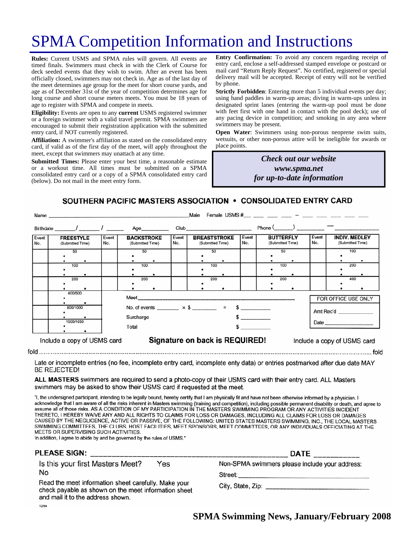# SPMA Competition Information and Instructions

**Rules:** Current USMS and SPMA rules will govern. All events are timed finals. Swimmers must check in with the Clerk of Course for deck seeded events that they wish to swim. After an event has been officially closed, swimmers may not check in. Age as of the last day of the meet determines age group for the meet for short course yards, and age as of December 31st of the year of competition determines age for long course and short course meters meets. You must be 18 years of age to register with SPMA and compete in meets.

**Eligibility:** Events are open to any **current** USMS registered swimmer or a foreign swimmer with a valid travel permit. SPMA swimmers are encouraged to submit their registration application with the submitted entry card, if NOT currently registered.

**Affiliation:** A swimmer's affiliation as stated on the consolidated entry card, if valid as of the first day of the meet, will apply throughout the meet, except that swimmers may unattach at any time.

**Submitted Times:** Please enter your best time, a reasonable estimate or a workout time. All times must be submitted on a SPMA consolidated entry card or a copy of a SPMA consolidated entry card (below). Do not mail in the meet entry form.

**Entry Confirmation:** To avoid any concern regarding receipt of entry card, enclose a self-addressed stamped envelope or postcard or mail card "Return Reply Request". No certified, registered or special delivery mail will be accepted. Receipt of entry will not be verified by phone.

**Strictly Forbidden**: Entering more than 5 individual events per day; using hand paddles in warm-up areas; diving in warm-ups unless in designated sprint lanes (entering the warm-up pool must be done with feet first with one hand in contact with the pool deck); use of any pacing device in competition; and smoking in any area where swimmers may be present.

**Open Water**: Swimmers using non-porous neoprene swim suits, wetsuits, or other non-porous attire will be ineligible for awards or place points.

> *Check out our website www.spma.net for up-to-date information*

> > $f \circ f$

SOUTHERN PACIFIC MASTERS ASSOCIATION . CONSOLIDATED ENTRY CARD

| Male<br>Name                |                                      |                    |                                                               |  |                                                 |                                         |                  |                |                                      |                                  |              |                                          |                   |
|-----------------------------|--------------------------------------|--------------------|---------------------------------------------------------------|--|-------------------------------------------------|-----------------------------------------|------------------|----------------|--------------------------------------|----------------------------------|--------------|------------------------------------------|-------------------|
|                             | Birthdate / 1 Age                    |                    |                                                               |  |                                                 |                                         |                  |                | $Phone ($ $)$ $-$                    |                                  |              |                                          |                   |
| Event<br>No.                | <b>FREESTYLE</b><br>(Submitted Time) | Event<br>No.       | <b>BACKSTROKE</b><br>(Submitted Time)                         |  | Event<br>No.                                    | <b>BREASTSTROKE</b><br>(Submitted Time) |                  | Event<br>l No. | <b>BUTTERFLY</b><br>(Submitted Time) |                                  | Event<br>No. | <b>INDIV. MEDLEY</b><br>(Submitted Time) |                   |
|                             | 50<br>100<br>200                     |                    | 50<br>100<br>200                                              |  |                                                 |                                         | 50<br>100<br>200 |                |                                      | 50<br>100<br>200                 |              |                                          | 100<br>200<br>400 |
|                             | 400/500<br>800/1000<br>1500/1650     | Surcharge<br>Total |                                                               |  | No. of events $\times$ \$ = \$<br>$\sim$ $\sim$ |                                         |                  |                |                                      | FOR OFFICE USE ONLY<br>Amt Rec'd |              |                                          |                   |
| Include a copy of USMS card |                                      |                    | Signature on back is REQUIRED!<br>Include a copy of USMS card |  |                                                 |                                         |                  |                |                                      |                                  |              |                                          |                   |

Late or incomplete entries (no fee, incomplete entry card, incomplete enty data) or entries postmarked after due date MAY **BE REJECTED!** 

ALL MASTERS swimmers are required to send a photo-copy of their USMS card with their entry card. ALL Masters swimmers may be asked to show their USMS card if requested at the meet.

"I, the undersigned participant, intending to be legally bound, hereby certify that I am physically fit and have not been otherwise informed by a physician. I acknowledge that I am aware of all the risks inherent in Masters swimming (training and competition), including possible permanent disability or death, and agree to assume all of those risks. AS A CONDITION OF MY PARTICIPATION IN THE MASTERS SWIMMING PROGRAM OR ANY ACTIVITIES INCIDENT THERETO, I HEREBY WAIVE ANY AND ALL RIGHTS TO CLAIMS FOR LOSS OR DAMAGES, INCLUDING ALL CLAIMS FOR LOSS OR DAMAGES CAUSED BY THE NEGLIGENCE, ACTIVE OR PASSIVE, OF THE FOLLOWING: UNITED STATES MASTERS SWIMMING, INC., THE LOCAL MASTERS SWIMMING COMMITTEES, THE CLUBS, HOST FACILITIES, MEET SPONSORS, MEET COMMITTEES, OR ANY INDIVIDUALS OFFICIATING AT THE MEETS OR SUPERVISING SUCH ACTIVITIES.

In addition, I agree to abide by and be governed by the rules of USMS."

| PLEASE SIGN:                                                                                                                                                                                                | <b>DATE</b>                                                                                            |  |  |  |  |
|-------------------------------------------------------------------------------------------------------------------------------------------------------------------------------------------------------------|--------------------------------------------------------------------------------------------------------|--|--|--|--|
| Is this your first Masters Meet?<br>Yes<br>No<br>Read the meet information sheet carefully. Make your<br>check payable as shown on the meet information sheet<br>and mail it to the address shown.<br>12/94 | Non-SPMA swimmers please include your address:<br>Street:<br>City, State, Zip: _______________________ |  |  |  |  |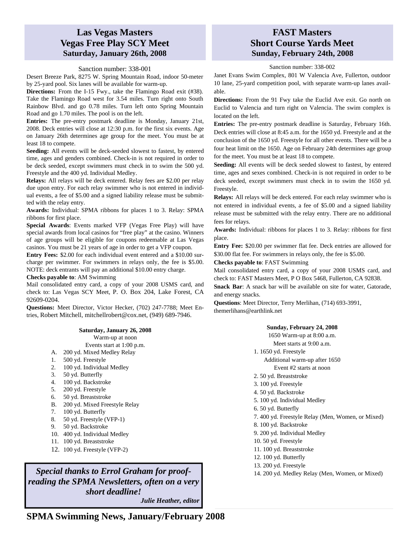### **Las Vegas Masters Vegas Free Play SCY Meet Saturday, January 26th, 2008**

#### Sanction number: 338-001

Desert Breeze Park, 8275 W. Spring Mountain Road, indoor 50-meter by 25-yard pool. Six lanes will be available for warm-up.

**Directions:** From the I-15 Fwy., take the Flamingo Road exit (#38). Take the Flamingo Road west for 3.54 miles. Turn right onto South Rainbow Blvd. and go 0.78 miles. Turn left onto Spring Mountain Road and go 1.70 miles. The pool is on the left.

**Entries:** The pre-entry postmark deadline is Monday, January 21st, 2008. Deck entries will close at 12:30 p.m. for the first six events. Age on January 26th determines age group for the meet. You must be at least 18 to compete.

**Seeding:** All events will be deck-seeded slowest to fastest, by entered time, ages and genders combined. Check-in is not required in order to be deck seeded, except swimmers must check in to swim the 500 yd. Freestyle and the 400 yd. Individual Medley.

**Relays:** All relays will be deck entered. Relay fees are \$2.00 per relay due upon entry. For each relay swimmer who is not entered in individual events, a fee of \$5.00 and a signed liability release must be submitted with the relay entry.

**Awards:** Individual: SPMA ribbons for places 1 to 3. Relay: SPMA ribbons for first place.

**Special Awards**: Events marked VFP (Vegas Free Play) will have special awards from local casinos for "free play" at the casino. Winners of age groups will be eligible for coupons redeemable at Las Vegas casinos. You must be 21 years of age in order to get a VFP coupon.

**Entry Fees:** \$2.00 for each individual event entered and a \$10.00 surcharge per swimmer. For swimmers in relays only, the fee is \$5.00. NOTE: deck entrants will pay an additional \$10.00 entry charge.

**Checks payable to**: AM Swimming

Mail consolidated entry card, a copy of your 2008 USMS card, and check to: Las Vegas SCY Meet, P. O. Box 204, Lake Forest, CA 92609-0204.

**Questions:** Meet Director, Victor Hecker, (702) 247-7788; Meet Entries, Robert Mitchell, mitchellrobert@cox.net, (949) 689-7946.

#### **Saturday, January 26, 2008**

Warm-up at noon

- Events start at 1:00 p.m.
- A. 200 yd. Mixed Medley Relay
- 1. 500 yd. Freestyle
- 2. 100 yd. Individual Medley
- 3. 50 yd. Butterfly
- 4. 100 yd. Backstroke
- 5. 200 yd. Freestyle
- 6. 50 yd. Breaststroke
- B. 200 yd. Mixed Freestyle Relay
- 7. 100 yd. Butterfly
- 8. 50 yd. Freestyle (VFP-1)
- 9. 50 yd. Backstroke
- 10. 400 yd. Individual Medley
- 11. 100 yd. Breaststroke
- 12. 100 yd. Freestyle (VFP-2)

*Special thanks to Errol Graham for proofreading the SPMA Newsletters, often on a very short deadline! Julie Heather, editor* 

### **FAST Masters Short Course Yards Meet Sunday, February 24th, 2008**

Sanction number: 338-002

Janet Evans Swim Complex, 801 W Valencia Ave, Fullerton, outdoor 10 lane, 25-yard competition pool, with separate warm-up lanes available.

**Directions:** From the 91 Fwy take the Euclid Ave exit. Go north on Euclid to Valencia and turn right on Valencia. The swim complex is located on the left.

**Entries:** The pre-entry postmark deadline is Saturday, February 16th. Deck entries will close at 8:45 a.m. for the 1650 yd. Freestyle and at the conclusion of the 1650 yd. Freestyle for all other events. There will be a four heat limit on the 1650. Age on February 24th determines age group for the meet. You must be at least 18 to compete.

**Seeding:** All events will be deck seeded slowest to fastest, by entered time, ages and sexes combined. Check-in is not required in order to be deck seeded, except swimmers must check in to swim the 1650 yd. Freestyle.

**Relays:** All relays will be deck entered. For each relay swimmer who is not entered in individual events, a fee of \$5.00 and a signed liability release must be submitted with the relay entry. There are no additional fees for relays.

**Awards:** Individual: ribbons for places 1 to 3. Relay: ribbons for first place.

**Entry Fee:** \$20.00 per swimmer flat fee. Deck entries are allowed for \$30.00 flat fee. For swimmers in relays only, the fee is \$5.00.

#### **Checks payable to**: FAST Swimming

Mail consolidated entry card, a copy of your 2008 USMS card, and check to: FAST Masters Meet, P O Box 5468, Fullerton, CA 92838.

**Snack Bar**: A snack bar will be available on site for water, Gatorade, and energy snacks.

**Questions**: Meet Director, Terry Merlihan, (714) 693-3991, themerlihans@earthlink.net

#### **Sunday, February 24, 2008**

1650 Warm-up at 8:00 a.m.

Meet starts at 9:00 a.m.

- 1. 1650 yd. Freestyle
	- Additional warm-up after 1650 Event #2 starts at noon
- 2. 50 yd. Breaststroke
- 3. 100 yd. Freestyle
- 4. 50 yd. Backstroke
- 5. 100 yd. Individual Medley
- 6. 50 yd. Butterfly
- 7. 400 yd. Freestyle Relay (Men, Women, or Mixed)
- 8. 100 yd. Backstroke
- 9. 200 yd. Individual Medley
- 10. 50 yd. Freestyle
- 11. 100 yd. Breaststroke
- 12. 100 yd. Butterfly
- 13. 200 yd. Freestyle
- 14. 200 yd. Medley Relay (Men, Women, or Mixed)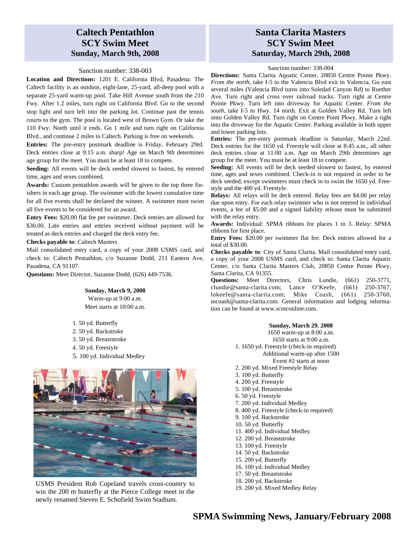## **Caltech Pentathlon SCY Swim Meet Sunday, March 9th, 2008**

#### Sanction number: 338-003

**Location and Directions:** 1201 E. California Blvd, Pasadena. The Caltech facility is an outdoor, eight-lane, 25-yard, all-deep pool with a separate 25-yard warm-up pool. Take Hill Avenue south from the 210 Fwy. After 1.2 miles, turn right on California Blvd. Go to the second stop light and turn left into the parking lot. Continue past the tennis courts to the gym. The pool is located west of Brown Gym. Or take the 110 Fwy. North until it ends. Go 1 mile and turn right on California Blvd., and continue 2 miles to Caltech. Parking is free on weekends.

**Entries:** The pre-entry postmark deadline is Friday, February 29rd. Deck entries close at 9:15 a.m. sharp! Age on March 9th determines age group for the meet. You must be at least 18 to compete.

**Seeding:** All events will be deck seeded slowest to fastest, by entered time, ages and sexes combined.

**Awards:** Custom pentathlon awards will be given to the top three finishers in each age group. The swimmer with the lowest cumulative time for all five events shall be declared the winner. A swimmer must swim all five events to be considered for an award.

**Entry Fees:** \$20.00 flat fee per swimmer. Deck entries are allowed for \$30.00. Late entries and entries received without payment will be treated as deck entries and charged the deck entry fee.

#### **Checks payable to**: Caltech Masters

Mail consolidated entry card, a copy of your 2008 USMS card, and check to: Caltech Pentathlon, c/o Suzanne Dodd, 211 Eastern Ave, Pasadena, CA 91107.

**Questions:** Meet Director, Suzanne Dodd, (626) 449-7536.

#### **Sunday, March 9, 2008**  Warm-up at 9:00 a.m.

Meet starts at 10:00 a.m.

1. 50 yd. Butterfly 2. 50 yd. Backstroke 3. 50 yd. Breaststroke 4. 50 yd. Freestyle 5. 100 yd. Individual Medley



USMS President Rob Copeland travels cross-country to<br>
The 200 yd. Mixed Medley Relay<br>
19. 200 yd. Mixed Medley Relay win the 200 m butterfly at the Pierce College meet in the newly renamed Steven E. Schofield Swim Stadium.

### **Santa Clarita Masters SCY Swim Meet Saturday, March 29th, 2008**

#### Sanction number: 338-004

**Directions:** Santa Clarita Aquatic Center, 20850 Centre Pointe Pkwy. *From the north*, take I-5 to the Valencia Blvd exit in Valencia. Go east several miles (Valencia Blvd turns into Soledad Canyon Rd) to Ruether Ave. Turn right and cross over railroad tracks. Turn right at Centre Pointe Pkwy. Turn left into driveway for Aquatic Center. *From the south*, take I-5 to Hwy. 14 north. Exit at Golden Valley Rd. Turn left onto Golden Valley Rd. Turn right on Centre Point Pkwy. Make a right into the driveway for the Aquatic Center. Parking available in both upper and lower parking lots.

**Entries:** The pre-entry postmark deadline is Saturday, March 22nd. Deck entries for the 1650 yd. Freestyle will close at 8:45 a.m., all other deck entries close at 11:00 a.m. Age on March 29th determines age group for the meet. You must be at least 18 to compete.

**Seeding:** All events will be deck seeded slowest to fastest, by entered time, ages and sexes combined. Check-in is not required in order to be deck seeded, except swimmers must check in to swim the 1650 yd. Freestyle and the 400 yd. Freestyle.

**Relays:** All relays will be deck entered. Relay fees are \$4.00 per relay due upon entry. For each relay swimmer who is not entered in individual events, a fee of \$5.00 and a signed liability release must be submitted with the relay entry.

**Awards:** Individual: SPMA ribbons for places 1 to 3. Relay: SPMA ribbons for first place.

**Entry Fees:** \$20.00 per swimmer flat fee. Deck entries allowed for a total of \$30.00.

**Checks payable to**: City of Santa Clarita. Mail consolidated entry card, a copy of your 2008 USMS card, and check to: Santa Clarita Aquatic Center, c/o Santa Clarita Masters Club, 20850 Centre Pointe Pkwy, Santa Clarita, CA 91355.

**Questions:** Meet Directors, Chris Lundie, (661) 250-3771, clundie@santa-clarita.com; Lance O'Keefe, (661) 250-3767, lokeefe@santa-clarita.com; Mike Coash, (661) 250-3760, mcoash@santa-clarita.com. General information and lodging information can be found at www.scmconline.com.

#### **Sunday, March 29. 2008**

1650 warm-up at 8:00 a.m. 1650 starts at 9:00 a.m. 1. 1650 yd. Freestyle (check-in required) Additional warm-up after 1500 Event #2 starts at noon 2. 200 yd. Mixed Freestyle Relay 3. 100 yd. Butterfly 4. 200 yd. Freestyle 5. 100 yd. Breaststroke 6. 50 yd. Freestyle 7. 200 yd. Individual Medley 8. 400 yd. Freestyle (check-in required) 9. 100 yd. Backstroke 10. 50 yd. Butterfly 11. 400 yd. Individual Medley 12. 200 yd. Breaststroke 13. 100 yd. Freestyle 14. 50 yd. Backstroke 15. 200 yd. Butterfly 16. 100 yd. Individual Medley 17. 50 yd. Breaststroke 18. 200 yd. Backstroke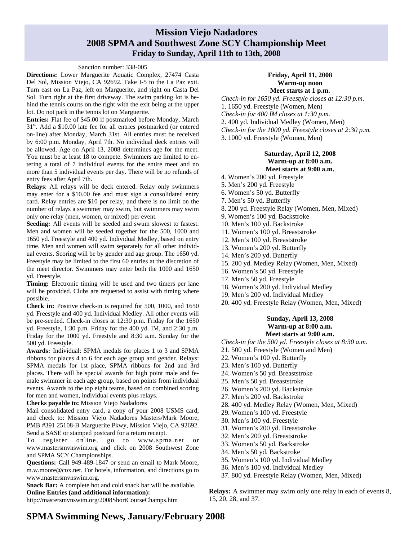### **Mission Viejo Nadadores 2008 SPMA and Southwest Zone SCY Championship Meet Friday to Sunday, April 11th to 13th, 2008**

### Sanction number: 338-005

**Directions:** Lower Marguerite Aquatic Complex, 27474 Casta Del Sol, Mission Viejo, CA 92692. Take I-5 to the La Paz exit. Turn east on La Paz, left on Marguerite, and right on Casta Del Sol. Turn right at the first driveway. The swim parking lot is behind the tennis courts on the right with the exit being at the upper lot. Do not park in the tennis lot on Marguerite.

**Entries:** Flat fee of \$45.00 if postmarked before Monday, March 31<sup>st</sup>. Add a \$10.00 late fee for all entries postmarked (or entered on-line) after Monday, March 31st. All entries must be received by 6:00 p.m. Monday, April 7th. No individual deck entries will be allowed. Age on April 13, 2008 determines age for the meet. You must be at least 18 to compete. Swimmers are limited to entering a total of 7 individual events for the entire meet and no more than 5 individual events per day. There will be no refunds of entry fees after April 7th.

**Relays**: All relays will be deck entered. Relay only swimmers may enter for a \$10.00 fee and must sign a consolidated entry card. Relay entries are \$10 per relay, and there is no limit on the number of relays a swimmer may swim, but swimmers may swim only one relay (men, women, or mixed) per event.

**Seeding:** All events will be seeded and swum slowest to fastest. Men and women will be seeded together for the 500, 1000 and 1650 yd. Freestyle and 400 yd. Individual Medley, based on entry time. Men and women will swim separately for all other individual events. Scoring will be by gender and age group. The 1650 yd. Freestyle may be limited to the first 60 entries at the discretion of the meet director. Swimmers may enter both the 1000 and 1650 yd. Freestyle.

**Timing:** Electronic timing will be used and two timers per lane will be provided. Clubs are requested to assist with timing where possible.

**Check in:** Positive check-in is required for 500, 1000, and 1650 yd. Freestyle and 400 yd. Individual Medley. All other events will be pre-seeded. Check-in closes at 12:30 p.m. Friday for the 1650 yd. Freestyle, 1:30 p.m. Friday for the 400 yd. IM, and 2:30 p.m. Friday for the 1000 yd. Freestyle and 8:30 a.m. Sunday for the 500 yd. Freestyle.

**Awards:** Individual: SPMA medals for places 1 to 3 and SPMA ribbons for places 4 to 6 for each age group and gender. Relays: SPMA medals for 1st place, SPMA ribbons for 2nd and 3rd places. There will be special awards for high point male and female swimmer in each age group, based on points from individual events. Awards to the top eight teams, based on combined scoring for men and women, individual events plus relays.

**Checks payable to:** Mission Viejo Nadadores

Mail consolidated entry card, a copy of your 2008 USMS card, and check to: Mission Viejo Nadadores Masters/Mark Moore, PMB #391 25108-B Marguerite Pkwy, Mission Viejo, CA 92692. Send a SASE or stamped postcard for a return receipt.

To register online, go to www.spma.net or www.mastersmvnswim.org and click on 2008 Southwest Zone and SPMA SCY Championships.

**Questions:** Call 949-489-1847 or send an email to Mark Moore, m.w.moore@cox.net. For hotels, information, and directions go to www.mastersmvnswim.org.

**Snack Bar:** A complete hot and cold snack bar will be available. **Online Entries (and additional information):** 

http://mastersmvnswim.org/2008ShortCourseChamps.htm

#### **Friday, April 11, 2008 Warm-up noon Meet starts at 1 p.m.**

*Check-in for 1650 yd. Freestyle closes at 12:30 p.m.*  1. 1650 yd. Freestyle (Women, Men) *Check-in for 400 IM closes at 1:30 p.m.*  2. 400 yd. Individual Medley (Women, Men) *Check-in for the 1000 yd. Freestyle closes at 2:30 p.m.*  3. 1000 yd. Freestyle (Women, Men)

### **Saturday, April 12, 2008 Warm-up at 8:00 a.m.**

### **Meet starts at 9:00 a.m.**

- 4. Women's 200 yd. Freestyle
- 5. Men's 200 yd. Freestyle
- 6. Women's 50 yd. Butterfly
- 7. Men's 50 yd. Butterfly
- 8. 200 yd. Freestyle Relay (Women, Men, Mixed)
- 9. Women's 100 yd. Backstroke
- 10. Men's 100 yd. Backstroke
- 11. Women's 100 yd. Breaststroke
- 12. Men's 100 yd. Breaststroke
- 13. Women's 200 yd. Butterfly
- 14. Men's 200 yd. Butterfly
- 15. 200 yd. Medley Relay (Women, Men, Mixed)
- 16. Women's 50 yd. Freestyle
- 17. Men's 50 yd. Freestyle
- 18. Women's 200 yd. Individual Medley
- 19. Men's 200 yd. Individual Medley
- 20. 400 yd. Freestyle Relay (Women, Men, Mixed)

### **Sunday, April 13, 2008 Warm-up at 8:00 a.m. Meet starts at 9:00 a.m.**

*Check-in for the 500 yd. Freestyle closes at 8:30 a.m.* 

- 21. 500 yd. Freestyle (Women and Men)
- 22. Women's 100 yd. Butterfly
- 23. Men's 100 yd. Butterfly
- 24. Women's 50 yd. Breaststroke
- 25. Men's 50 yd. Breaststroke
- 26. Women's 200 yd. Backstroke
- 27. Men's 200 yd. Backstroke
- 28. 400 yd. Medley Relay (Women, Men, Mixed)
- 29. Women's 100 yd. Freestyle
- 30. Men's 100 yd. Freestyle
- 31. Women's 200 yd. Breaststroke
- 32. Men's 200 yd. Breaststroke
- 33. Women's 50 yd. Backstroke
- 34. Men's 50 yd. Backstroke
- 35. Women's 100 yd. Individual Medley
- 36. Men's 100 yd. Individual Medley
- 37. 800 yd. Freestyle Relay (Women, Men, Mixed)

**Relays:** A swimmer may swim only one relay in each of events 8, 15, 20, 28, and 37.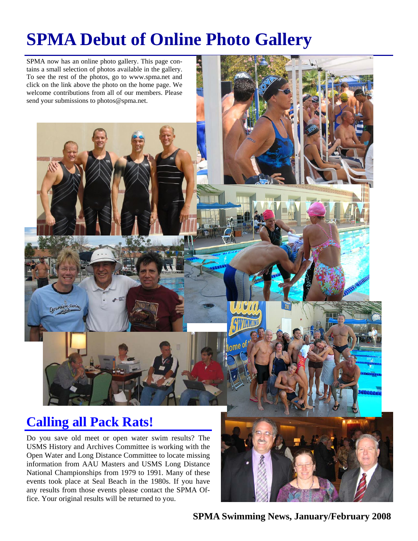# **SPMA Debut of Online Photo Gallery**



USMS History and Archives Committee is working with the Open Water and Long Distance Committee to locate missing information from AAU Masters and USMS Long Distance National Championships from 1979 to 1991. Many of these events took place at Seal Beach in the 1980s. If you have any results from those events please contact the SPMA Office. Your original results will be returned to you.